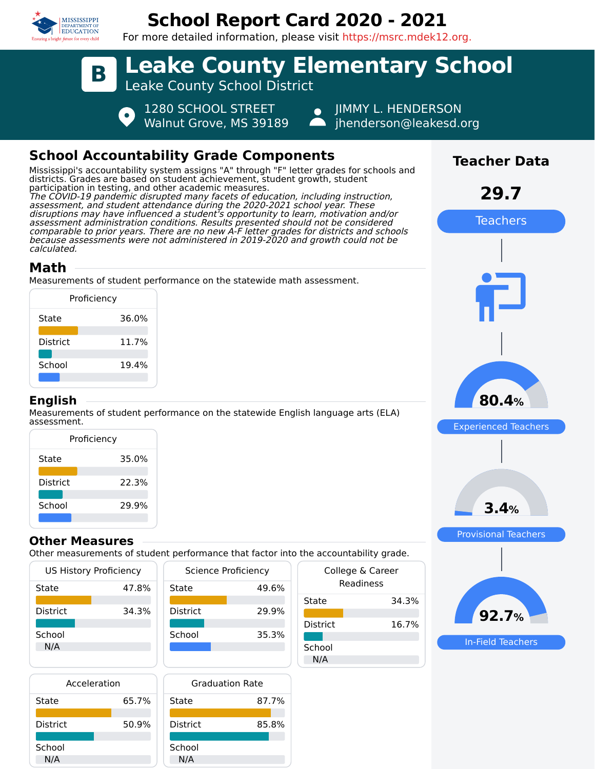

## **School Report Card 2020 - 2021**

For more detailed information, please visit https://msrc.mdek12.org.



## **School Accountability Grade Components**

Mississippi's accountability system assigns "A" through "F" letter grades for schools and districts. Grades are based on student achievement, student growth, student participation in testing, and other academic measures. The COVID-19 pandemic disrupted many facets of education, including instruction, assessment, and student attendance during the 2020-2021 school year. These disruptions may have influenced a student's opportunity to learn, motivation and/or assessment administration conditions. Results presented should not be considered comparable to prior years. There are no new A-F letter grades for districts and schools because assessments were not administered in 2019-2020 and growth could not be calculated.

### **Math**

Measurements of student performance on the statewide math assessment.

|          | Proficiency |
|----------|-------------|
| State    | 36.0%       |
| District | 11.7%       |
| School   | 19.4%       |
|          |             |

#### **English**

Measurements of student performance on the statewide English language arts (ELA) assessment.

| Proficiency     |       |
|-----------------|-------|
| State           | 35.0% |
| <b>District</b> | 22.3% |
| School          | 29.9% |

#### **Other Measures**

Other measurements of student performance that factor into the accountability grade.

| <b>US History Proficiency</b> |       | Science Proficiency |       |
|-------------------------------|-------|---------------------|-------|
| State                         | 47.8% | State               | 49.6% |
| <b>District</b>               | 34.3% | <b>District</b>     | 29.9% |
| School<br>N/A                 |       | School              | 35.3% |

| Acceleration    |       |  |
|-----------------|-------|--|
| State           | 65.7% |  |
| <b>District</b> | 50.9% |  |
| School<br>N/A   |       |  |



|                 | the accountability grade.     |
|-----------------|-------------------------------|
|                 | College & Career<br>Readiness |
| State           | 34.3%                         |
| <b>District</b> | 16.7%                         |
| School          |                               |
| N/A             |                               |



**Teacher Data**

**29.7**

Teachers